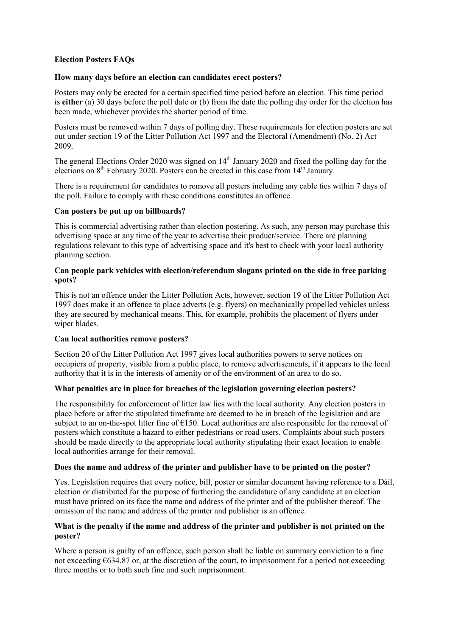## **Election Posters FAQs**

## **[How many days before an election can candidates erect posters?](https://www.dccae.gov.ie/en-ie/environment/topics/waste/litter/Pages/Election-Posters0331-3567.aspx#How%20many%20days%20before%20an%20election%20can%20candidates%20erect%20posters?)**

Posters may only be erected for a certain specified time period before an election. This time period is **either** (a) 30 days before the poll date or (b) from the date the polling day order for the election has been made, whichever provides the shorter period of time.

Posters must be removed within 7 days of polling day. These requirements for election posters are set out under section 19 of the Litter Pollution Act 1997 and the Electoral (Amendment) (No. 2) Act 2009.

The general Elections Order 2020 was signed on  $14<sup>th</sup>$  January 2020 and fixed the polling day for the elections on  $8<sup>th</sup>$  February 2020. Posters can be erected in this case from  $14<sup>th</sup>$  January.

There is a requirement for candidates to remove all posters including any cable ties within 7 days of the poll. Failure to comply with these conditions constitutes an offence.

#### **[Can posters be put up on billboards?](https://www.dccae.gov.ie/en-ie/environment/topics/waste/litter/Pages/Election-Posters0331-3567.aspx#Can%20posters%20be%20put%20up%20on%20billboards?)**

This is commercial advertising rather than election postering. As such, any person may purchase this advertising space at any time of the year to advertise their product/service. There are planning regulations relevant to this type of advertising space and it's best to check with your local authority planning section.

## **[Can people park vehicles with election/referendum slogans printed on the side in free parking](https://www.dccae.gov.ie/en-ie/environment/topics/waste/litter/Pages/Election-Posters0331-3567.aspx#Can%20people%20park%20vehicles%20with%20election/referendum%20slogans%20printed%20on%20the%20side%20in%20free%20parking%20spots?)  [spots?](https://www.dccae.gov.ie/en-ie/environment/topics/waste/litter/Pages/Election-Posters0331-3567.aspx#Can%20people%20park%20vehicles%20with%20election/referendum%20slogans%20printed%20on%20the%20side%20in%20free%20parking%20spots?)**

This is not an offence under the Litter Pollution Acts, however, section 19 of the Litter Pollution Act 1997 does make it an offence to place adverts (e.g. flyers) on mechanically propelled vehicles unless they are secured by mechanical means. This, for example, prohibits the placement of flyers under wiper blades.

#### **[Can local authorities remove posters?](https://www.dccae.gov.ie/en-ie/environment/topics/waste/litter/Pages/Election-Posters0331-3567.aspx#Can%20local%20authorities%20remove%20posters?)**

Section 20 of the Litter Pollution Act 1997 gives local authorities powers to serve notices on occupiers of property, visible from a public place, to remove advertisements, if it appears to the local authority that it is in the interests of amenity or of the environment of an area to do so.

#### **[What penalties are in place for breaches of the legislation governing election posters?](https://www.dccae.gov.ie/en-ie/environment/topics/waste/litter/Pages/Election-Posters0331-3567.aspx#What%20penalties%20are%20in%20place%20for%20breaches%20of%20the%20legislation%20governing%20election/referendum%20posters?)**

The responsibility for enforcement of litter law lies with the local authority. Any election posters in place before or after the stipulated timeframe are deemed to be in breach of the legislation and are subject to an on-the-spot litter fine of  $E150$ . Local authorities are also responsible for the removal of posters which constitute a hazard to either pedestrians or road users. Complaints about such posters should be made directly to the appropriate local authority stipulating their exact location to enable local authorities arrange for their removal.

#### **[Does the name and address of the printer and publisher have to be printed on the poster?](https://www.dccae.gov.ie/en-ie/environment/topics/waste/litter/Pages/Election-Posters0331-3567.aspx#Does%20the%20name%20and%20address%20of%20the%20printer%20and%20publisher%20have%20to%20be%20printed%20on%20the%20poster?)**

Yes. Legislation requires that every notice, bill, poster or similar document having reference to a Dáil, election or distributed for the purpose of furthering the candidature of any candidate at an election must have printed on its face the name and address of the printer and of the publisher thereof. The omission of the name and address of the printer and publisher is an offence.

#### **[What is the penalty if the name and address of the printer and publisher is not printed on the](https://www.dccae.gov.ie/en-ie/environment/topics/waste/litter/Pages/Election-Posters0331-3567.aspx#What%20is%20the%20penalty%20if%20the%20name%20and%20address%20of%20the%20printer%20and%20publisher%20is%20not%20printed%20on%20the%20poster?)  [poster?](https://www.dccae.gov.ie/en-ie/environment/topics/waste/litter/Pages/Election-Posters0331-3567.aspx#What%20is%20the%20penalty%20if%20the%20name%20and%20address%20of%20the%20printer%20and%20publisher%20is%20not%20printed%20on%20the%20poster?)**

Where a person is guilty of an offence, such person shall be liable on summary conviction to a fine not exceeding  $\epsilon$ 634.87 or, at the discretion of the court, to imprisonment for a period not exceeding three months or to both such fine and such imprisonment.